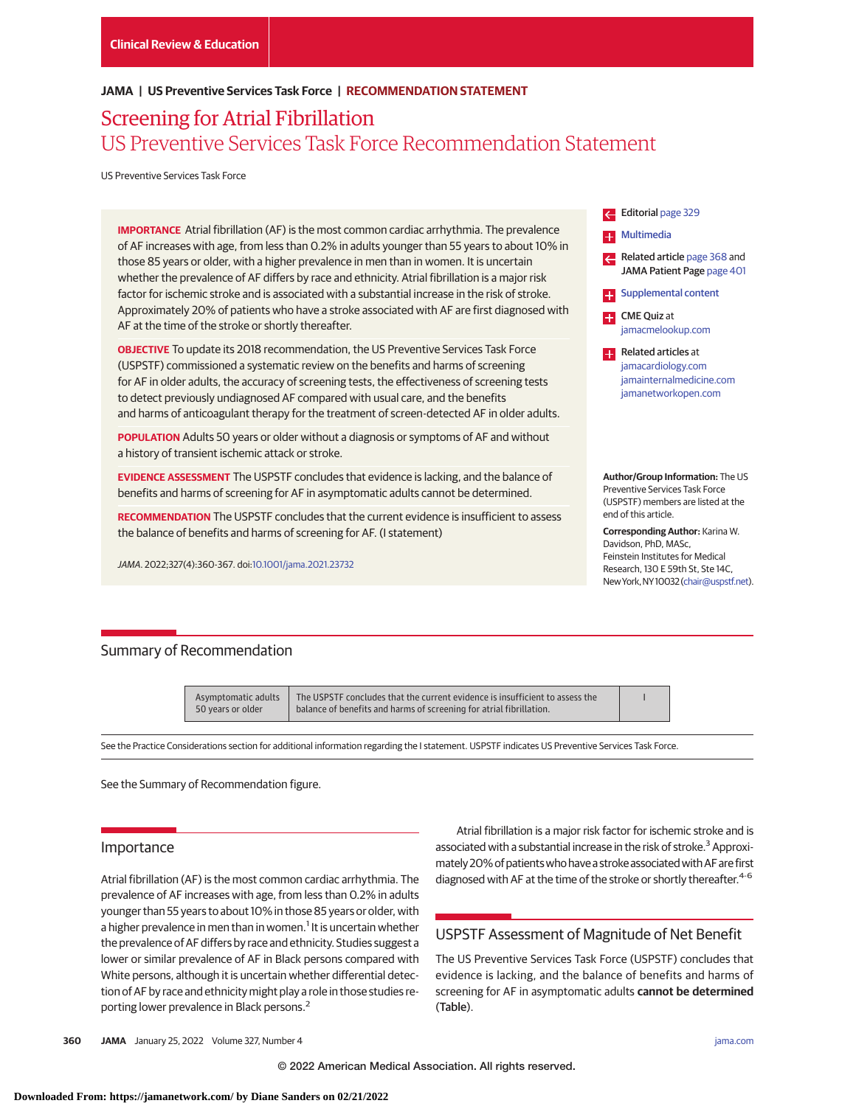### **JAMA | US Preventive Services Task Force | RECOMMENDATION STATEMENT**

# Screening for Atrial Fibrillation US Preventive Services Task Force Recommendation Statement

US Preventive Services Task Force

**IMPORTANCE** Atrial fibrillation (AF) is the most common cardiac arrhythmia. The prevalence of AF increases with age, from less than 0.2% in adults younger than 55 years to about 10% in those 85 years or older, with a higher prevalence in men than in women. It is uncertain whether the prevalence of AF differs by race and ethnicity. Atrial fibrillation is a major risk factor for ischemic stroke and is associated with a substantial increase in the risk of stroke. Approximately 20% of patients who have a stroke associated with AF are first diagnosed with AF at the time of the stroke or shortly thereafter.

**OBJECTIVE** To update its 2018 recommendation, the US Preventive Services Task Force (USPSTF) commissioned a systematic review on the benefits and harms of screening for AF in older adults, the accuracy of screening tests, the effectiveness of screening tests to detect previously undiagnosed AF compared with usual care, and the benefits and harms of anticoagulant therapy for the treatment of screen-detected AF in older adults.

**POPULATION** Adults 50 years or older without a diagnosis or symptoms of AF and without a history of transient ischemic attack or stroke.

**EVIDENCE ASSESSMENT** The USPSTF concludes that evidence is lacking, and the balance of benefits and harms of screening for AF in asymptomatic adults cannot be determined.

**RECOMMENDATION** The USPSTF concludes that the current evidence is insufficient to assess the balance of benefits and harms of screening for AF. (I statement)

JAMA. 2022;327(4):360-367. doi[:10.1001/jama.2021.23732](https://jamanetwork.com/journals/jama/fullarticle/10.1001/jama.2021.23732?utm_campaign=articlePDF%26utm_medium=articlePDFlink%26utm_source=articlePDF%26utm_content=jama.2021.23732)

# Summary of Recommendation

Asymptomatic adults 50 years or older The USPSTF concludes that the current evidence is insufficient to assess the balance of benefits and harms of screening for atrial fibrillation.

Editorial [page 329](https://jamanetwork.com/journals/jama/fullarticle/10.1001/jama.2021.23727?utm_campaign=articlePDF%26utm_medium=articlePDFlink%26utm_source=articlePDF%26utm_content=jama.2021.23732) **ES** [Multimedia](https://jamanetwork.com/journals/jama/fullarticle/10.1001/jama.2021.23732?utm_campaign=articlePDF%26utm_medium=articlePDFlink%26utm_source=articlePDF%26utm_content=jama.2021.23732)

Related article [page 368](https://jamanetwork.com/journals/jama/fullarticle/10.1001/jama.2021.21811?utm_campaign=articlePDF%26utm_medium=articlePDFlink%26utm_source=articlePDF%26utm_content=jama.2021.23732) and JAMA Patient Page [page 401](https://jamanetwork.com/journals/jama/fullarticle/10.1001/jama.2021.24513?utm_campaign=articlePDF%26utm_medium=articlePDFlink%26utm_source=articlePDF%26utm_content=jama.2021.23732)

**Examplemental content** 

[jamacmelookup.com](https://jama.jamanetwork.com/learning/article-quiz/10.1001/jama.2021.23732?utm_campaign=articlePDF%26utm_medium=articlePDFlink%26utm_source=articlePDF%26utm_content=jama.2021.23732) Related articles at [jamacardiology.com](http://jama.jamanetwork.com/article.aspx?doi=10.1001/jamacardio.2021.5873&utm_campaign=articlePDF%26utm_medium=articlePDFlink%26utm_source=articlePDF%26utm_content=jama.2021.23732) [jamainternalmedicine.com](http://jama.jamanetwork.com/article.aspx?doi=10.1001/jamainternmed.2021.7283&utm_campaign=articlePDF%26utm_medium=articlePDFlink%26utm_source=articlePDF%26utm_content=jama.2021.23732) [jamanetworkopen.com](http://jama.jamanetwork.com/article.aspx?doi=10.1001/jamanetworkopen.2021.39910&utm_campaign=articlePDF%26utm_medium=articlePDFlink%26utm_source=articlePDF%26utm_content=jama.2021.23732)

**Author/Group Information:** The US Preventive Services Task Force (USPSTF) members are listed at the

**Corresponding Author:** Karina W.

**CME** Quiz at

 $+$ 

end of this article.

Davidson, PhD, MASc, Feinstein Institutes for Medical Research, 130 E 59th St, Ste 14C, NewYork,NY 10032 [\(chair@uspstf.net\)](mailto:chair@uspstf.net).

I

See the Practice Considerations section for additional information regarding the I statement. USPSTF indicates US Preventive Services Task Force.

See the Summary of Recommendation figure.

### Importance

Atrial fibrillation (AF) is the most common cardiac arrhythmia. The prevalence of AF increases with age, from less than 0.2% in adults younger than 55 years to about 10% in those 85 years or older, with a higher prevalence in men than in women.<sup>1</sup> It is uncertain whether the prevalence of AF differs by race and ethnicity. Studies suggest a lower or similar prevalence of AF in Black persons compared with White persons, although it is uncertain whether differential detection of AF by race and ethnicity might play a role in those studies reporting lower prevalence in Black persons.<sup>2</sup>

Atrial fibrillation is a major risk factor for ischemic stroke and is associated with a substantial increase in the risk of stroke.<sup>3</sup> Approximately 20% of patients who have a stroke associated with AF are first diagnosed with AF at the time of the stroke or shortly thereafter.<sup>4-6</sup>

### USPSTF Assessment of Magnitude of Net Benefit

The US Preventive Services Task Force (USPSTF) concludes that evidence is lacking, and the balance of benefits and harms of screening for AF in asymptomatic adults **cannot be determined** (Table).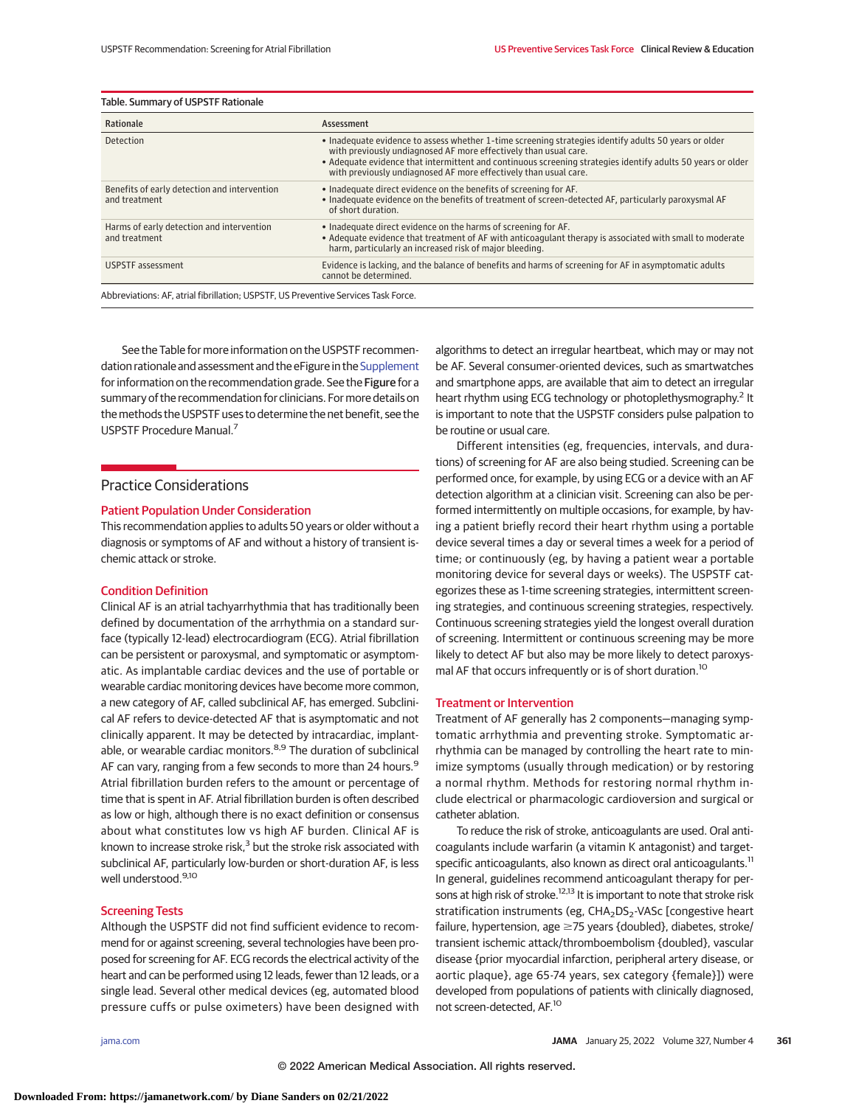| Table. Summary of USPSTF Rationale                                                 |                                                                                                                                                                                                                                                                                                                                                              |
|------------------------------------------------------------------------------------|--------------------------------------------------------------------------------------------------------------------------------------------------------------------------------------------------------------------------------------------------------------------------------------------------------------------------------------------------------------|
| Rationale                                                                          | Assessment                                                                                                                                                                                                                                                                                                                                                   |
| Detection                                                                          | • Inadequate evidence to assess whether 1-time screening strategies identify adults 50 years or older<br>with previously undiagnosed AF more effectively than usual care.<br>• Adequate evidence that intermittent and continuous screening strategies identify adults 50 years or older<br>with previously undiagnosed AF more effectively than usual care. |
| Benefits of early detection and intervention<br>and treatment                      | • Inadequate direct evidence on the benefits of screening for AF.<br>• Inadequate evidence on the benefits of treatment of screen-detected AF, particularly paroxysmal AF<br>of short duration.                                                                                                                                                              |
| Harms of early detection and intervention<br>and treatment                         | . Inadequate direct evidence on the harms of screening for AF.<br>• Adequate evidence that treatment of AF with anticoagulant therapy is associated with small to moderate<br>harm, particularly an increased risk of major bleeding.                                                                                                                        |
| USPSTF assessment                                                                  | Evidence is lacking, and the balance of benefits and harms of screening for AF in asymptomatic adults<br>cannot be determined.                                                                                                                                                                                                                               |
| Abbreviations: AF. atrial fibrillation: USPSTF. US Preventive Services Task Force. |                                                                                                                                                                                                                                                                                                                                                              |

See the Table for more information on the USPSTF recommendation rationale and assessment and the eFigure in the [Supplement](https://jamanetwork.com/journals/jama/fullarticle/10.1001/jama.2021.23732?utm_campaign=articlePDF%26utm_medium=articlePDFlink%26utm_source=articlePDF%26utm_content=jama.2021.23732) for information on the recommendation grade. See the Figure for a summary of the recommendation for clinicians. For more details on the methods the USPSTF uses to determine the net benefit, see the USPSTF Procedure Manual.7

# Practice Considerations

### Patient Population Under Consideration

This recommendation applies to adults 50 years or older without a diagnosis or symptoms of AF and without a history of transient ischemic attack or stroke.

### Condition Definition

Clinical AF is an atrial tachyarrhythmia that has traditionally been defined by documentation of the arrhythmia on a standard surface (typically 12-lead) electrocardiogram (ECG). Atrial fibrillation can be persistent or paroxysmal, and symptomatic or asymptomatic. As implantable cardiac devices and the use of portable or wearable cardiac monitoring devices have become more common, a new category of AF, called subclinical AF, has emerged. Subclinical AF refers to device-detected AF that is asymptomatic and not clinically apparent. It may be detected by intracardiac, implantable, or wearable cardiac monitors.<sup>8,9</sup> The duration of subclinical AF can vary, ranging from a few seconds to more than 24 hours.<sup>9</sup> Atrial fibrillation burden refers to the amount or percentage of time that is spent in AF. Atrial fibrillation burden is often described as low or high, although there is no exact definition or consensus about what constitutes low vs high AF burden. Clinical AF is known to increase stroke risk, $3$  but the stroke risk associated with subclinical AF, particularly low-burden or short-duration AF, is less well understood.<sup>9,10</sup>

### Screening Tests

Although the USPSTF did not find sufficient evidence to recommend for or against screening, several technologies have been proposed for screening for AF. ECG records the electrical activity of the heart and can be performed using 12 leads, fewer than 12 leads, or a single lead. Several other medical devices (eg, automated blood pressure cuffs or pulse oximeters) have been designed with algorithms to detect an irregular heartbeat, which may or may not be AF. Several consumer-oriented devices, such as smartwatches and smartphone apps, are available that aim to detect an irregular heart rhythm using ECG technology or photoplethysmography.<sup>2</sup> It is important to note that the USPSTF considers pulse palpation to be routine or usual care.

Different intensities (eg, frequencies, intervals, and durations) of screening for AF are also being studied. Screening can be performed once, for example, by using ECG or a device with an AF detection algorithm at a clinician visit. Screening can also be performed intermittently on multiple occasions, for example, by having a patient briefly record their heart rhythm using a portable device several times a day or several times a week for a period of time; or continuously (eg, by having a patient wear a portable monitoring device for several days or weeks). The USPSTF categorizes these as 1-time screening strategies, intermittent screening strategies, and continuous screening strategies, respectively. Continuous screening strategies yield the longest overall duration of screening. Intermittent or continuous screening may be more likely to detect AF but also may be more likely to detect paroxysmal AF that occurs infrequently or is of short duration.<sup>10</sup>

#### Treatment or Intervention

Treatment of AF generally has 2 components—managing symptomatic arrhythmia and preventing stroke. Symptomatic arrhythmia can be managed by controlling the heart rate to minimize symptoms (usually through medication) or by restoring a normal rhythm. Methods for restoring normal rhythm include electrical or pharmacologic cardioversion and surgical or catheter ablation.

To reduce the risk of stroke, anticoagulants are used. Oral anticoagulants include warfarin (a vitamin K antagonist) and targetspecific anticoagulants, also known as direct oral anticoagulants.<sup>11</sup> In general, guidelines recommend anticoagulant therapy for persons at high risk of stroke.<sup>12,13</sup> It is important to note that stroke risk stratification instruments (eg, CHA<sub>2</sub>DS<sub>2</sub>-VASc [congestive heart failure, hypertension, age ≥75 years {doubled}, diabetes, stroke/ transient ischemic attack/thromboembolism {doubled}, vascular disease {prior myocardial infarction, peripheral artery disease, or aortic plaque}, age 65-74 years, sex category {female}]) were developed from populations of patients with clinically diagnosed, not screen-detected, AF.10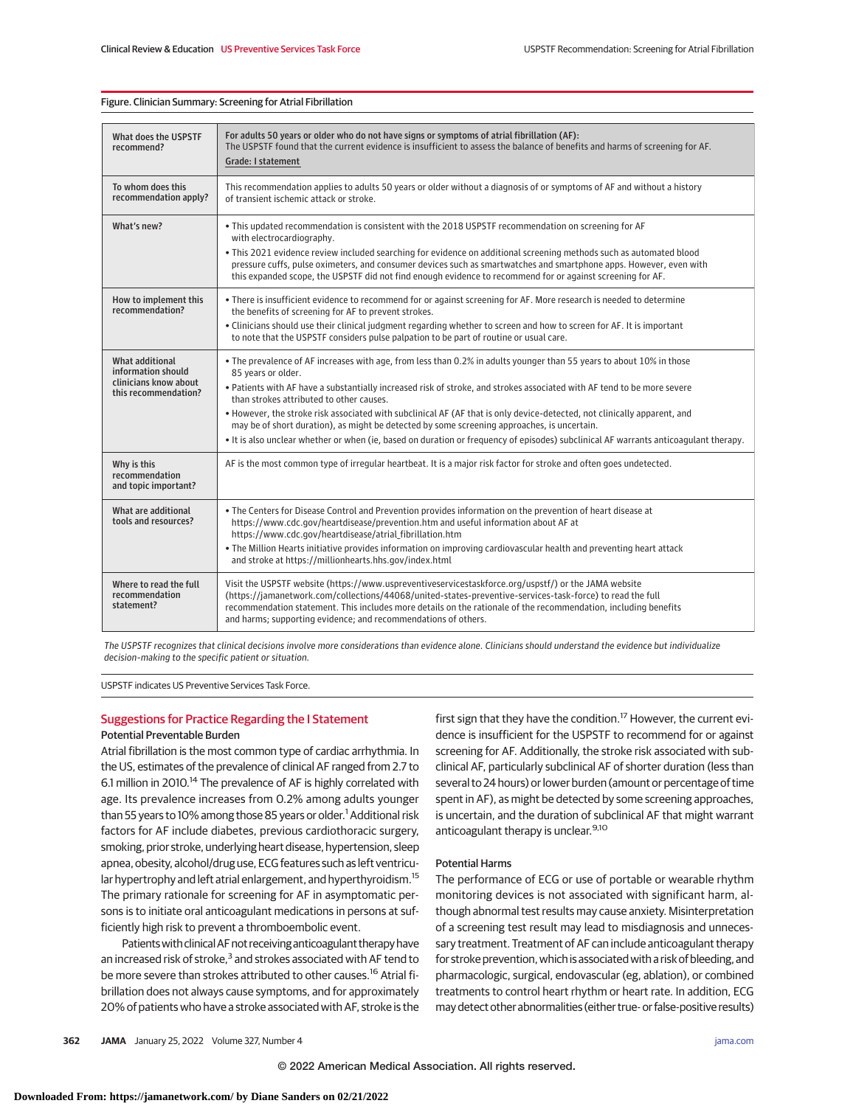#### Figure. Clinician Summary: Screening for Atrial Fibrillation

| What does the USPSTF<br>recommend?                                                     | For adults 50 years or older who do not have signs or symptoms of atrial fibrillation (AF):<br>The USPSTF found that the current evidence is insufficient to assess the balance of benefits and harms of screening for AF.<br>Grade: I statement                                                                                                                                                                                                                                                                                                                                                                                                                                     |
|----------------------------------------------------------------------------------------|--------------------------------------------------------------------------------------------------------------------------------------------------------------------------------------------------------------------------------------------------------------------------------------------------------------------------------------------------------------------------------------------------------------------------------------------------------------------------------------------------------------------------------------------------------------------------------------------------------------------------------------------------------------------------------------|
| To whom does this<br>recommendation apply?                                             | This recommendation applies to adults 50 years or older without a diagnosis of or symptoms of AF and without a history<br>of transient ischemic attack or stroke.                                                                                                                                                                                                                                                                                                                                                                                                                                                                                                                    |
| What's new?                                                                            | . This updated recommendation is consistent with the 2018 USPSTF recommendation on screening for AF<br>with electrocardiography.<br>. This 2021 evidence review included searching for evidence on additional screening methods such as automated blood<br>pressure cuffs, pulse oximeters, and consumer devices such as smartwatches and smartphone apps. However, even with<br>this expanded scope, the USPSTF did not find enough evidence to recommend for or against screening for AF.                                                                                                                                                                                          |
| How to implement this<br>recommendation?                                               | . There is insufficient evidence to recommend for or against screening for AF. More research is needed to determine<br>the benefits of screening for AF to prevent strokes.<br>• Clinicians should use their clinical judgment regarding whether to screen and how to screen for AF. It is important<br>to note that the USPSTF considers pulse palpation to be part of routine or usual care.                                                                                                                                                                                                                                                                                       |
| What additional<br>information should<br>clinicians know about<br>this recommendation? | • The prevalence of AF increases with age, from less than 0.2% in adults younger than 55 years to about 10% in those<br>85 years or older.<br>. Patients with AF have a substantially increased risk of stroke, and strokes associated with AF tend to be more severe<br>than strokes attributed to other causes.<br>• However, the stroke risk associated with subclinical AF (AF that is only device-detected, not clinically apparent, and<br>may be of short duration), as might be detected by some screening approaches, is uncertain.<br>• It is also unclear whether or when (ie, based on duration or frequency of episodes) subclinical AF warrants anticoagulant therapy. |
| Why is this<br>recommendation<br>and topic important?                                  | AF is the most common type of irregular heartbeat. It is a major risk factor for stroke and often goes undetected.                                                                                                                                                                                                                                                                                                                                                                                                                                                                                                                                                                   |
| What are additional<br>tools and resources?                                            | • The Centers for Disease Control and Prevention provides information on the prevention of heart disease at<br>https://www.cdc.gov/heartdisease/prevention.htm and useful information about AF at<br>https://www.cdc.gov/heartdisease/atrial fibrillation.htm<br>• The Million Hearts initiative provides information on improving cardiovascular health and preventing heart attack<br>and stroke at https://millionhearts.hhs.gov/index.html                                                                                                                                                                                                                                       |
| Where to read the full<br>recommendation<br>statement?                                 | Visit the USPSTF website (https://www.uspreventiveservicestaskforce.org/uspstf/) or the JAMA website<br>(https://jamanetwork.com/collections/44068/united-states-preventive-services-task-force) to read the full<br>recommendation statement. This includes more details on the rationale of the recommendation, including benefits<br>and harms; supporting evidence; and recommendations of others.                                                                                                                                                                                                                                                                               |

*The USPSTF recognizes that clinical decisions involve more considerations than evidence alone. Clinicians should understand the evidence but individualize decision-making to the specific patient or situation.*

USPSTF indicates US Preventive Services Task Force.

### Suggestions for Practice Regarding the I Statement Potential Preventable Burden

Atrial fibrillation is the most common type of cardiac arrhythmia. In the US, estimates of the prevalence of clinical AF ranged from 2.7 to 6.1 million in 2010.<sup>14</sup> The prevalence of AF is highly correlated with age. Its prevalence increases from 0.2% among adults younger than 55 years to 10% among those 85 years or older.<sup>1</sup> Additional risk factors for AF include diabetes, previous cardiothoracic surgery, smoking, prior stroke, underlying heart disease, hypertension, sleep apnea, obesity, alcohol/drug use, ECG features such as left ventricular hypertrophy and left atrial enlargement, and hyperthyroidism.<sup>15</sup> The primary rationale for screening for AF in asymptomatic persons is to initiate oral anticoagulant medications in persons at sufficiently high risk to prevent a thromboembolic event.

Patients with clinical AF not receiving anticoagulant therapy have an increased risk of stroke,<sup>3</sup> and strokes associated with AF tend to be more severe than strokes attributed to other causes.<sup>16</sup> Atrial fibrillation does not always cause symptoms, and for approximately 20% of patients who have a stroke associated with AF, stroke is the first sign that they have the condition.<sup>17</sup> However, the current evidence is insufficient for the USPSTF to recommend for or against screening for AF. Additionally, the stroke risk associated with subclinical AF, particularly subclinical AF of shorter duration (less than several to 24 hours) or lower burden (amount or percentage of time spent in AF), as might be detected by some screening approaches, is uncertain, and the duration of subclinical AF that might warrant anticoagulant therapy is unclear.<sup>9,10</sup>

#### Potential Harms

The performance of ECG or use of portable or wearable rhythm monitoring devices is not associated with significant harm, although abnormal test results may cause anxiety. Misinterpretation of a screening test result may lead to misdiagnosis and unnecessary treatment. Treatment of AF can include anticoagulant therapy for stroke prevention, which is associated with a risk of bleeding, and pharmacologic, surgical, endovascular (eg, ablation), or combined treatments to control heart rhythm or heart rate. In addition, ECG may detect other abnormalities (either true- or false-positive results)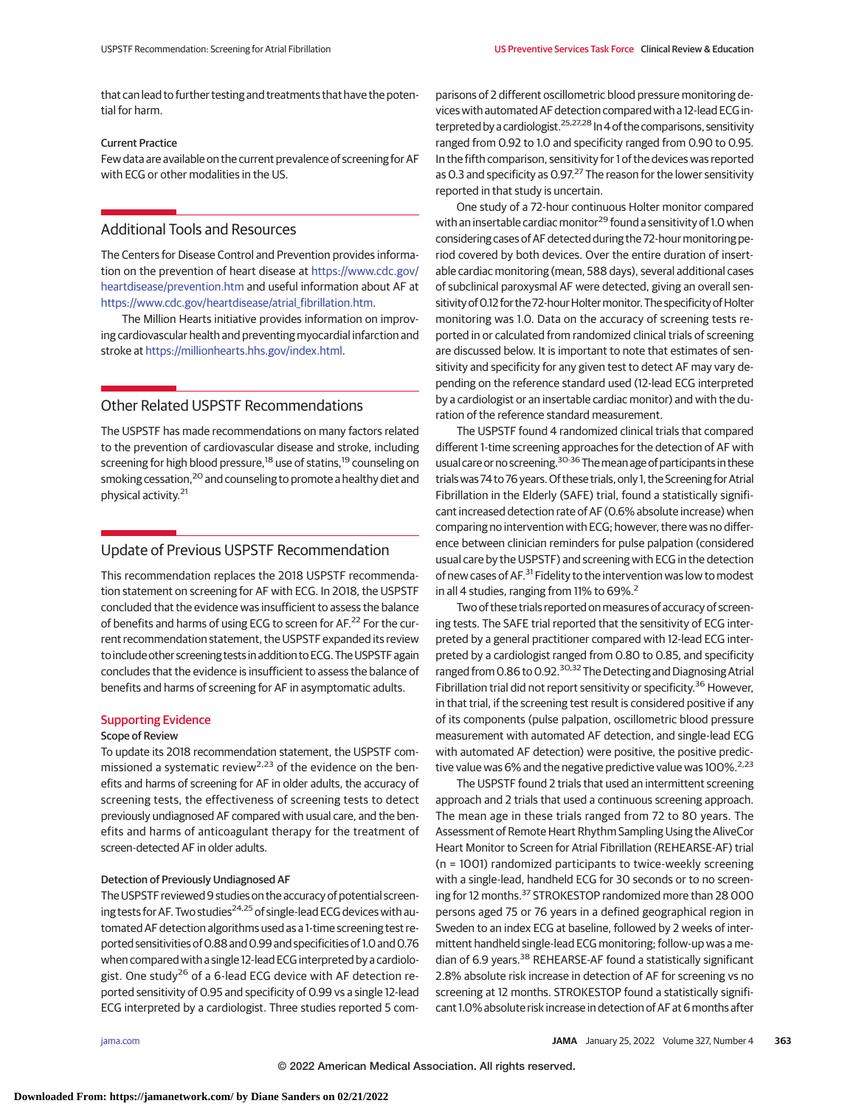that can lead to further testing and treatments that have the potential for harm.

### Current Practice

Few data are available on the current prevalence of screening for AF with ECG or other modalities in the US.

# Additional Tools and Resources

The Centers for Disease Control and Prevention provides information on the prevention of heart disease at [https://www.cdc.gov/](https://www.cdc.gov/heartdisease/prevention.htm) [heartdisease/prevention.htm](https://www.cdc.gov/heartdisease/prevention.htm) and useful information about AF at [https://www.cdc.gov/heartdisease/atrial\\_fibrillation.htm.](https://www.cdc.gov/heartdisease/atrial_fibrillation.htm)

The Million Hearts initiative provides information on improving cardiovascular health and preventing myocardial infarction and stroke at [https://millionhearts.hhs.gov/index.html.](https://millionhearts.hhs.gov/index.html)

# Other Related USPSTF Recommendations

The USPSTF has made recommendations on many factors related to the prevention of cardiovascular disease and stroke, including screening for high blood pressure,<sup>18</sup> use of statins,<sup>19</sup> counseling on smoking cessation,<sup>20</sup> and counseling to promote a healthy diet and physical activity.<sup>21</sup>

### Update of Previous USPSTF Recommendation

This recommendation replaces the 2018 USPSTF recommendation statement on screening for AF with ECG. In 2018, the USPSTF concluded that the evidence was insufficient to assess the balance of benefits and harms of using ECG to screen for AF.<sup>22</sup> For the current recommendation statement, the USPSTF expanded its review to include other screening tests in addition to ECG. The USPSTF again concludes that the evidence is insufficient to assess the balance of benefits and harms of screening for AF in asymptomatic adults.

### Supporting Evidence

### Scope of Review

To update its 2018 recommendation statement, the USPSTF commissioned a systematic review<sup>2,23</sup> of the evidence on the benefits and harms of screening for AF in older adults, the accuracy of screening tests, the effectiveness of screening tests to detect previously undiagnosed AF compared with usual care, and the benefits and harms of anticoagulant therapy for the treatment of screen-detected AF in older adults.

#### Detection of Previously Undiagnosed AF

The USPSTF reviewed 9 studies on the accuracy of potential screening tests for AF. Two studies<sup>24,25</sup> of single-lead ECG devices with automated AF detection algorithms used as a 1-time screening test reported sensitivities of 0.88 and 0.99 and specificities of 1.0 and 0.76 when compared with a single 12-lead ECG interpreted by a cardiologist. One study<sup>26</sup> of a 6-lead ECG device with AF detection reported sensitivity of 0.95 and specificity of 0.99 vs a single 12-lead ECG interpreted by a cardiologist. Three studies reported 5 comparisons of 2 different oscillometric blood pressure monitoring devices with automated AF detection compared with a 12-lead ECG interpreted by a cardiologist.<sup>25,27,28</sup> In 4 of the comparisons, sensitivity ranged from 0.92 to 1.0 and specificity ranged from 0.90 to 0.95. In the fifth comparison, sensitivity for 1 of the devices was reported as 0.3 and specificity as 0.97. $^{27}$  The reason for the lower sensitivity reported in that study is uncertain.

One study of a 72-hour continuous Holter monitor compared with an insertable cardiac monitor<sup>29</sup> found a sensitivity of 1.0 when considering cases of AF detected during the 72-hour monitoring period covered by both devices. Over the entire duration of insertable cardiac monitoring (mean, 588 days), several additional cases of subclinical paroxysmal AF were detected, giving an overall sensitivity of 0.12 for the 72-hour Holter monitor. The specificity of Holter monitoring was 1.0. Data on the accuracy of screening tests reported in or calculated from randomized clinical trials of screening are discussed below. It is important to note that estimates of sensitivity and specificity for any given test to detect AF may vary depending on the reference standard used (12-lead ECG interpreted by a cardiologist or an insertable cardiac monitor) and with the duration of the reference standard measurement.

The USPSTF found 4 randomized clinical trials that compared different 1-time screening approaches for the detection of AF with usual care or no screening.<sup>30-36</sup> The mean age of participants in these trials was 74 to 76 years. Of these trials, only 1, the Screening for Atrial Fibrillation in the Elderly (SAFE) trial, found a statistically significant increased detection rate of AF (0.6% absolute increase) when comparing no intervention with ECG; however, there was no difference between clinician reminders for pulse palpation (considered usual care by the USPSTF) and screening with ECG in the detection of new cases of AF.<sup>31</sup> Fidelity to the intervention was low to modest in all 4 studies, ranging from 11% to 69%.<sup>2</sup>

Two of these trials reported on measures of accuracy of screening tests. The SAFE trial reported that the sensitivity of ECG interpreted by a general practitioner compared with 12-lead ECG interpreted by a cardiologist ranged from 0.80 to 0.85, and specificity ranged from 0.86 to 0.92.<sup>30,32</sup> The Detecting and Diagnosing Atrial Fibrillation trial did not report sensitivity or specificity.<sup>36</sup> However, in that trial, if the screening test result is considered positive if any of its components (pulse palpation, oscillometric blood pressure measurement with automated AF detection, and single-lead ECG with automated AF detection) were positive, the positive predictive value was 6% and the negative predictive value was 100%.<sup>2,23</sup>

The USPSTF found 2 trials that used an intermittent screening approach and 2 trials that used a continuous screening approach. The mean age in these trials ranged from 72 to 80 years. The Assessment of Remote Heart Rhythm Sampling Using the AliveCor Heart Monitor to Screen for Atrial Fibrillation (REHEARSE-AF) trial (n = 1001) randomized participants to twice-weekly screening with a single-lead, handheld ECG for 30 seconds or to no screening for 12 months.<sup>37</sup> STROKESTOP randomized more than 28 000 persons aged 75 or 76 years in a defined geographical region in Sweden to an index ECG at baseline, followed by 2 weeks of intermittent handheld single-lead ECG monitoring; follow-up was a median of 6.9 years.<sup>38</sup> REHEARSE-AF found a statistically significant 2.8% absolute risk increase in detection of AF for screening vs no screening at 12 months. STROKESTOP found a statistically significant 1.0% absolute risk increase in detection of AF at 6 months after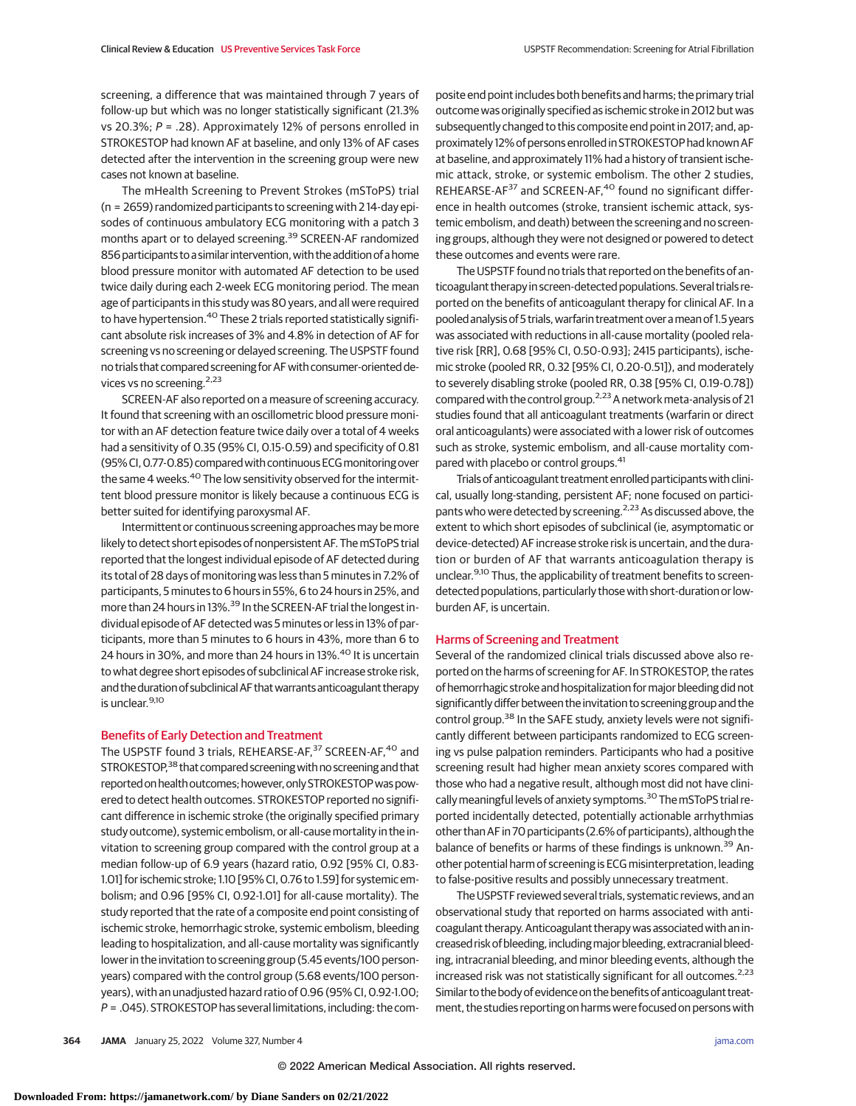screening, a difference that was maintained through 7 years of follow-up but which was no longer statistically significant (21.3% vs 20.3%;  $P = .28$ ). Approximately 12% of persons enrolled in STROKESTOP had known AF at baseline, and only 13% of AF cases detected after the intervention in the screening group were new cases not known at baseline.

The mHealth Screening to Prevent Strokes (mSToPS) trial (n = 2659) randomized participants to screening with 2 14-day episodes of continuous ambulatory ECG monitoring with a patch 3 months apart or to delayed screening.<sup>39</sup> SCREEN-AF randomized 856 participants to a similar intervention, with the addition of a home blood pressure monitor with automated AF detection to be used twice daily during each 2-week ECG monitoring period. The mean age of participants in this study was 80 years, and all were required to have hypertension.<sup>40</sup> These 2 trials reported statistically significant absolute risk increases of 3% and 4.8% in detection of AF for screening vs no screening or delayed screening. The USPSTF found no trials that compared screening for AF with consumer-oriented devices vs no screening.<sup>2,23</sup>

SCREEN-AF also reported on a measure of screening accuracy. It found that screening with an oscillometric blood pressure monitor with an AF detection feature twice daily over a total of 4 weeks had a sensitivity of 0.35 (95% CI, 0.15-0.59) and specificity of 0.81 (95% CI, 0.77-0.85) compared with continuous ECG monitoring over the same 4 weeks.<sup>40</sup> The low sensitivity observed for the intermittent blood pressure monitor is likely because a continuous ECG is better suited for identifying paroxysmal AF.

Intermittent or continuous screening approaches may be more likely to detect short episodes of nonpersistent AF. ThemSToPS trial reported that the longest individual episode of AF detected during its total of 28 days of monitoring was less than 5 minutes in 7.2% of participants, 5 minutes to 6 hours in 55%, 6 to 24 hours in 25%, and more than 24 hours in 13%.<sup>39</sup> In the SCREEN-AF trial the longest individual episode of AF detected was 5 minutes or less in 13% of participants, more than 5 minutes to 6 hours in 43%, more than 6 to 24 hours in 30%, and more than 24 hours in 13%.<sup>40</sup> It is uncertain to what degree short episodes of subclinical AF increase stroke risk, and the duration of subclinical AF that warrants anticoagulant therapy is unclear.<sup>9,10</sup>

#### Benefits of Early Detection and Treatment

The USPSTF found 3 trials, REHEARSE-AF,<sup>37</sup> SCREEN-AF,<sup>40</sup> and STROKESTOP,<sup>38</sup> that compared screening with no screening and that reported on health outcomes; however, only STROKESTOP was powered to detect health outcomes. STROKESTOP reported no significant difference in ischemic stroke (the originally specified primary study outcome), systemic embolism, or all-cause mortality in the invitation to screening group compared with the control group at a median follow-up of 6.9 years (hazard ratio, 0.92 [95% CI, 0.83- 1.01] for ischemic stroke; 1.10 [95% CI, 0.76 to 1.59] for systemic embolism; and 0.96 [95% CI, 0.92-1.01] for all-cause mortality). The study reported that the rate of a composite end point consisting of ischemic stroke, hemorrhagic stroke, systemic embolism, bleeding leading to hospitalization, and all-cause mortality was significantly lower in the invitation to screening group (5.45 events/100 personyears) compared with the control group (5.68 events/100 personyears), with an unadjusted hazard ratio of 0.96 (95% CI, 0.92-1.00;  $P = .045$ ). STROKESTOP has several limitations, including: the composite end point includes both benefits and harms; the primary trial outcome was originally specified as ischemic stroke in 2012 but was subsequently changed to this composite end point in 2017; and, approximately 12% of persons enrolled in STROKESTOP had known AF at baseline, and approximately 11% had a history of transient ischemic attack, stroke, or systemic embolism. The other 2 studies, REHEARSE-AF<sup>37</sup> and SCREEN-AF,<sup>40</sup> found no significant difference in health outcomes (stroke, transient ischemic attack, systemic embolism, and death) between the screening and no screening groups, although they were not designed or powered to detect these outcomes and events were rare.

The USPSTF found no trials that reported on the benefits of anticoagulant therapy in screen-detected populations. Several trials reported on the benefits of anticoagulant therapy for clinical AF. In a pooled analysis of 5 trials, warfarin treatment over a mean of 1.5 years was associated with reductions in all-cause mortality (pooled relative risk [RR], 0.68 [95% CI, 0.50-0.93]; 2415 participants), ischemic stroke (pooled RR, 0.32 [95% CI, 0.20-0.51]), and moderately to severely disabling stroke (pooled RR, 0.38 [95% CI, 0.19-0.78]) compared with the control group.<sup>2,23</sup> A network meta-analysis of 21 studies found that all anticoagulant treatments (warfarin or direct oral anticoagulants) were associated with a lower risk of outcomes such as stroke, systemic embolism, and all-cause mortality compared with placebo or control groups.<sup>41</sup>

Trials of anticoagulant treatmentenrolled participantswith clinical, usually long-standing, persistent AF; none focused on participants who were detected by screening.<sup>2,23</sup> As discussed above, the extent to which short episodes of subclinical (ie, asymptomatic or device-detected) AF increase stroke risk is uncertain, and the duration or burden of AF that warrants anticoagulation therapy is unclear.<sup>9,10</sup> Thus, the applicability of treatment benefits to screendetected populations, particularly those with short-duration or lowburden AF, is uncertain.

#### Harms of Screening and Treatment

Several of the randomized clinical trials discussed above also reported on the harms of screening for AF. In STROKESTOP, the rates of hemorrhagic stroke and hospitalization formajor bleeding did not significantly differ between the invitation to screening group and the control group.<sup>38</sup> In the SAFE study, anxiety levels were not significantly different between participants randomized to ECG screening vs pulse palpation reminders. Participants who had a positive screening result had higher mean anxiety scores compared with those who had a negative result, although most did not have clinically meaningful levels of anxiety symptoms.<sup>30</sup> The mSToPS trial reported incidentally detected, potentially actionable arrhythmias other than AF in 70 participants (2.6% of participants), although the balance of benefits or harms of these findings is unknown.<sup>39</sup> Another potential harm of screening is ECG misinterpretation, leading to false-positive results and possibly unnecessary treatment.

The USPSTF reviewed several trials, systematic reviews, and an observational study that reported on harms associated with anticoagulant therapy. Anticoagulant therapy was associated with an increased risk of bleeding, including major bleeding, extracranial bleeding, intracranial bleeding, and minor bleeding events, although the increased risk was not statistically significant for all outcomes.<sup>2,23</sup> Similar to the body of evidence on the benefits of anticoagulant treatment, the studies reporting on harms were focused on persons with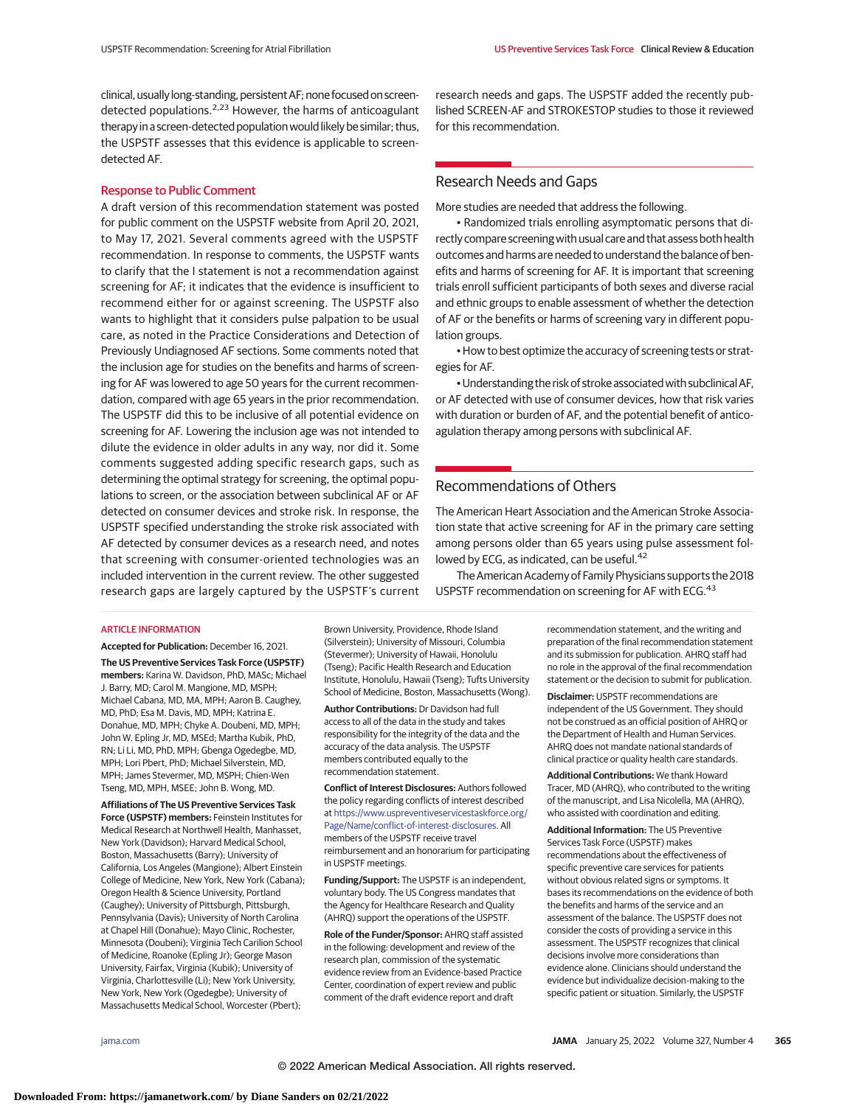clinical, usually long-standing, persistentAF; none focused on screendetected populations.<sup>2,23</sup> However, the harms of anticoagulant therapy in a screen-detected population would likely be similar; thus, the USPSTF assesses that this evidence is applicable to screendetected AF.

### Response to Public Comment

A draft version of this recommendation statement was posted for public comment on the USPSTF website from April 20, 2021, to May 17, 2021. Several comments agreed with the USPSTF recommendation. In response to comments, the USPSTF wants to clarify that the I statement is not a recommendation against screening for AF; it indicates that the evidence is insufficient to recommend either for or against screening. The USPSTF also wants to highlight that it considers pulse palpation to be usual care, as noted in the Practice Considerations and Detection of Previously Undiagnosed AF sections. Some comments noted that the inclusion age for studies on the benefits and harms of screening for AF was lowered to age 50 years for the current recommendation, compared with age 65 years in the prior recommendation. The USPSTF did this to be inclusive of all potential evidence on screening for AF. Lowering the inclusion age was not intended to dilute the evidence in older adults in any way, nor did it. Some comments suggested adding specific research gaps, such as determining the optimal strategy for screening, the optimal populations to screen, or the association between subclinical AF or AF detected on consumer devices and stroke risk. In response, the USPSTF specified understanding the stroke risk associated with AF detected by consumer devices as a research need, and notes that screening with consumer-oriented technologies was an included intervention in the current review. The other suggested research gaps are largely captured by the USPSTF's current

research needs and gaps. The USPSTF added the recently published SCREEN-AF and STROKESTOP studies to those it reviewed for this recommendation.

# Research Needs and Gaps

More studies are needed that address the following.

• Randomized trials enrolling asymptomatic persons that directly compare screening with usual care and that assess both health outcomes and harms are needed to understand the balance of benefits and harms of screening for AF. It is important that screening trials enroll sufficient participants of both sexes and diverse racial and ethnic groups to enable assessment of whether the detection of AF or the benefits or harms of screening vary in different population groups.

• How to best optimize the accuracy of screening tests or strategies for AF.

•Understanding the risk of stroke associated with subclinical AF, or AF detected with use of consumer devices, how that risk varies with duration or burden of AF, and the potential benefit of anticoagulation therapy among persons with subclinical AF.

### Recommendations of Others

The American Heart Association and the American Stroke Association state that active screening for AF in the primary care setting among persons older than 65 years using pulse assessment followed by ECG, as indicated, can be useful.<sup>42</sup>

The American Academy of Family Physicians supports the 2018 USPSTF recommendation on screening for AF with ECG.<sup>43</sup>

#### ARTICLE INFORMATION

**Accepted for Publication:** December 16, 2021.

**The US Preventive Services Task Force (USPSTF) members:** Karina W. Davidson, PhD, MASc; Michael J. Barry, MD; Carol M. Mangione, MD, MSPH; Michael Cabana, MD, MA, MPH; Aaron B. Caughey, MD, PhD; Esa M. Davis, MD, MPH; Katrina E. Donahue, MD, MPH; Chyke A. Doubeni, MD, MPH; John W. Epling Jr, MD, MSEd; Martha Kubik, PhD, RN; Li Li, MD, PhD, MPH; Gbenga Ogedegbe, MD, MPH; Lori Pbert, PhD; Michael Silverstein, MD, MPH; James Stevermer, MD, MSPH; Chien-Wen Tseng, MD, MPH, MSEE; John B. Wong, MD.

**Affiliations of The US Preventive Services Task Force (USPSTF) members:** Feinstein Institutes for Medical Research at Northwell Health, Manhasset, New York (Davidson); Harvard Medical School, Boston, Massachusetts (Barry); University of California, Los Angeles (Mangione); Albert Einstein College of Medicine, New York, New York (Cabana); Oregon Health & Science University, Portland (Caughey); University of Pittsburgh, Pittsburgh, Pennsylvania (Davis); University of North Carolina at Chapel Hill (Donahue); Mayo Clinic, Rochester, Minnesota (Doubeni); Virginia Tech Carilion School of Medicine, Roanoke (Epling Jr); George Mason University, Fairfax, Virginia (Kubik); University of Virginia, Charlottesville (Li); New York University, New York, New York (Ogedegbe); University of Massachusetts Medical School, Worcester (Pbert);

Brown University, Providence, Rhode Island (Silverstein); University of Missouri, Columbia (Stevermer); University of Hawaii, Honolulu (Tseng); Pacific Health Research and Education Institute, Honolulu, Hawaii (Tseng); Tufts University School of Medicine, Boston, Massachusetts (Wong).

**Author Contributions:** Dr Davidson had full access to all of the data in the study and takes responsibility for the integrity of the data and the accuracy of the data analysis. The USPSTF members contributed equally to the recommendation statement.

**Conflict of Interest Disclosures:** Authors followed the policy regarding conflicts of interest described at [https://www.uspreventiveservicestaskforce.org/](https://www.uspreventiveservicestaskforce.org/Page/Name/conflict-of-interest-disclosures) [Page/Name/conflict-of-interest-disclosures.](https://www.uspreventiveservicestaskforce.org/Page/Name/conflict-of-interest-disclosures) All members of the USPSTF receive travel reimbursement and an honorarium for participating in USPSTF meetings.

**Funding/Support:** The USPSTF is an independent, voluntary body. The US Congress mandates that the Agency for Healthcare Research and Quality (AHRQ) support the operations of the USPSTF.

**Role of the Funder/Sponsor:** AHRQ staff assisted in the following: development and review of the research plan, commission of the systematic evidence review from an Evidence-based Practice Center, coordination of expert review and public comment of the draft evidence report and draft

recommendation statement, and the writing and preparation of the final recommendation statement and its submission for publication. AHRQ staff had no role in the approval of the final recommendation statement or the decision to submit for publication.

**Disclaimer:** USPSTF recommendations are independent of the US Government. They should not be construed as an official position of AHRQ or the Department of Health and Human Services. AHRQ does not mandate national standards of clinical practice or quality health care standards.

**Additional Contributions:** We thank Howard Tracer, MD (AHRQ), who contributed to the writing of the manuscript, and Lisa Nicolella, MA (AHRQ), who assisted with coordination and editing.

**Additional Information:** The US Preventive Services Task Force (USPSTF) makes recommendations about the effectiveness of specific preventive care services for patients without obvious related signs or symptoms. It bases its recommendations on the evidence of both the benefits and harms of the service and an assessment of the balance. The USPSTF does not consider the costs of providing a service in this assessment. The USPSTF recognizes that clinical decisions involve more considerations than evidence alone. Clinicians should understand the evidence but individualize decision-making to the specific patient or situation. Similarly, the USPSTF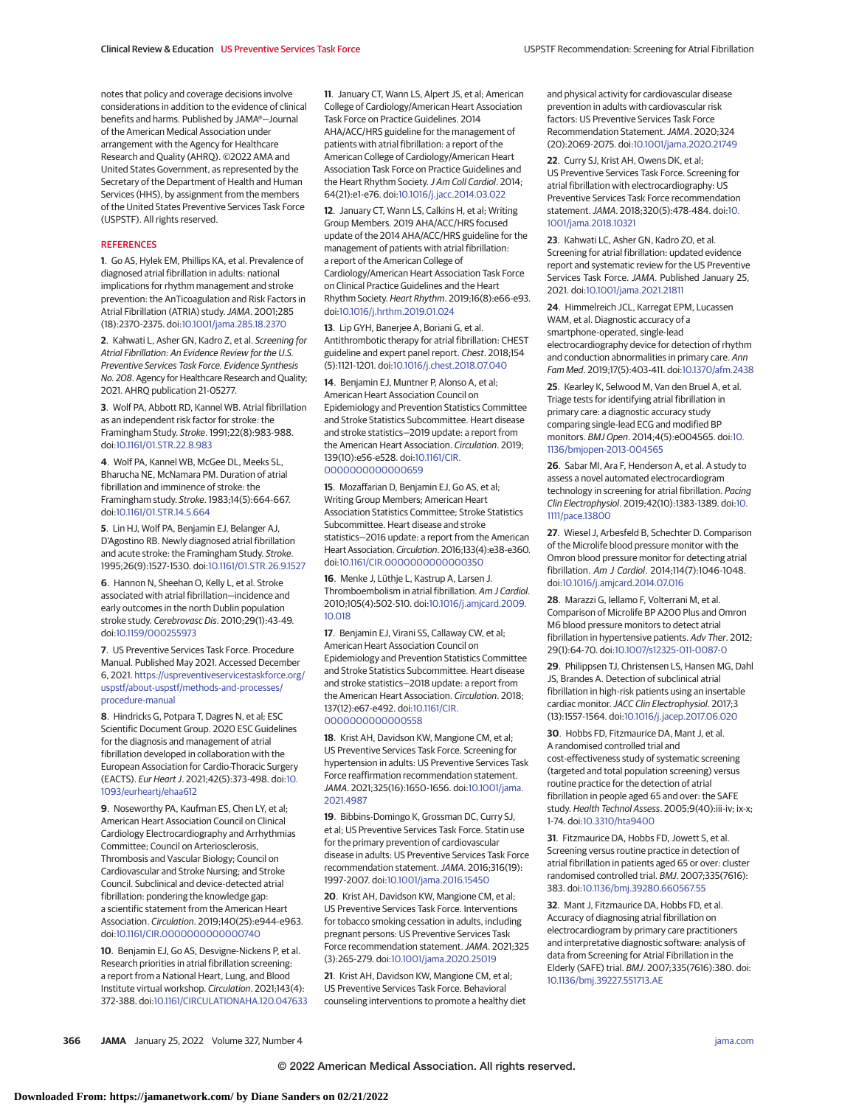notes that policy and coverage decisions involve considerations in addition to the evidence of clinical benefits and harms. Published by JAMA®—Journal of the American Medical Association under arrangement with the Agency for Healthcare Research and Quality (AHRQ). ©2022 AMA and United States Government, as represented by the Secretary of the Department of Health and Human Services (HHS), by assignment from the members of the United States Preventive Services Task Force (USPSTF). All rights reserved.

#### **REFERENCES**

**1**. Go AS, Hylek EM, Phillips KA, et al. Prevalence of diagnosed atrial fibrillation in adults: national implications for rhythm management and stroke prevention: the AnTicoagulation and Risk Factors in Atrial Fibrillation (ATRIA) study.JAMA. 2001;285 (18):2370-2375. doi[:10.1001/jama.285.18.2370](https://jamanetwork.com/journals/jama/fullarticle/10.1001/jama.285.18.2370?utm_campaign=articlePDF%26utm_medium=articlePDFlink%26utm_source=articlePDF%26utm_content=jama.2021.23732)

**2**. Kahwati L, Asher GN, Kadro Z, et al. Screening for Atrial Fibrillation: An Evidence Review for the U.S. Preventive Services Task Force. Evidence Synthesis No. 208. Agency for Healthcare Research and Quality; 2021. AHRQ publication 21-05277.

**3**. Wolf PA, Abbott RD, Kannel WB. Atrial fibrillation as an independent risk factor for stroke: the Framingham Study. Stroke. 1991;22(8):983-988. doi[:10.1161/01.STR.22.8.983](https://dx.doi.org/10.1161/01.STR.22.8.983)

**4**. Wolf PA, Kannel WB, McGee DL, Meeks SL, Bharucha NE, McNamara PM. Duration of atrial fibrillation and imminence of stroke: the Framingham study. Stroke. 1983;14(5):664-667. doi[:10.1161/01.STR.14.5.664](https://dx.doi.org/10.1161/01.STR.14.5.664)

**5**. Lin HJ, Wolf PA, Benjamin EJ, Belanger AJ, D'Agostino RB. Newly diagnosed atrial fibrillation and acute stroke: the Framingham Study. Stroke. 1995;26(9):1527-1530. doi[:10.1161/01.STR.26.9.1527](https://dx.doi.org/10.1161/01.STR.26.9.1527)

**6**. Hannon N, Sheehan O, Kelly L, et al. Stroke associated with atrial fibrillation—incidence and early outcomes in the north Dublin population stroke study. Cerebrovasc Dis. 2010;29(1):43-49. doi[:10.1159/000255973](https://dx.doi.org/10.1159/000255973)

**7** US Preventive Services Task Force. Procedure Manual. Published May 2021. Accessed December 6, 2021. [https://uspreventiveservicestaskforce.org/](https://uspreventiveservicestaskforce.org/uspstf/about-uspstf/methods-and-processes/procedure-manual) [uspstf/about-uspstf/methods-and-processes/](https://uspreventiveservicestaskforce.org/uspstf/about-uspstf/methods-and-processes/procedure-manual) [procedure-manual](https://uspreventiveservicestaskforce.org/uspstf/about-uspstf/methods-and-processes/procedure-manual)

**8**. Hindricks G, Potpara T, Dagres N, et al; ESC Scientific Document Group. 2020 ESC Guidelines for the diagnosis and management of atrial fibrillation developed in collaboration with the European Association for Cardio-Thoracic Surgery (EACTS). Eur Heart J. 2021;42(5):373-498. doi[:10.](https://dx.doi.org/10.1093/eurheartj/ehaa612) [1093/eurheartj/ehaa612](https://dx.doi.org/10.1093/eurheartj/ehaa612)

**9**. Noseworthy PA, Kaufman ES, Chen LY, et al; American Heart Association Council on Clinical Cardiology Electrocardiography and Arrhythmias Committee; Council on Arteriosclerosis, Thrombosis and Vascular Biology; Council on Cardiovascular and Stroke Nursing; and Stroke Council. Subclinical and device-detected atrial fibrillation: pondering the knowledge gap: a scientific statement from the American Heart Association. Circulation. 2019;140(25):e944-e963. doi[:10.1161/CIR.0000000000000740](https://dx.doi.org/10.1161/CIR.0000000000000740)

**10**. Benjamin EJ, Go AS, Desvigne-Nickens P, et al. Research priorities in atrial fibrillation screening: a report from a National Heart, Lung, and Blood Institute virtual workshop. Circulation. 2021;143(4): 372-388. doi[:10.1161/CIRCULATIONAHA.120.047633](https://dx.doi.org/10.1161/CIRCULATIONAHA.120.047633) **11**. January CT, Wann LS, Alpert JS, et al; American College of Cardiology/American Heart Association Task Force on Practice Guidelines. 2014 AHA/ACC/HRS guideline for the management of patients with atrial fibrillation: a report of the American College of Cardiology/American Heart Association Task Force on Practice Guidelines and the Heart Rhythm Society. J Am Coll Cardiol. 2014: 64(21):e1-e76. doi[:10.1016/j.jacc.2014.03.022](https://dx.doi.org/10.1016/j.jacc.2014.03.022)

**12**. January CT, Wann LS, Calkins H, et al; Writing Group Members. 2019 AHA/ACC/HRS focused update of the 2014 AHA/ACC/HRS guideline for the management of patients with atrial fibrillation: a report of the American College of Cardiology/American Heart Association Task Force on Clinical Practice Guidelines and the Heart Rhythm Society. Heart Rhythm. 2019;16(8):e66-e93. doi[:10.1016/j.hrthm.2019.01.024](https://dx.doi.org/10.1016/j.hrthm.2019.01.024)

**13**. Lip GYH, Banerjee A, Boriani G, et al. Antithrombotic therapy for atrial fibrillation: CHEST guideline and expert panel report. Chest. 2018;154 (5):1121-1201. doi[:10.1016/j.chest.2018.07.040](https://dx.doi.org/10.1016/j.chest.2018.07.040)

**14**. Benjamin EJ, Muntner P, Alonso A, et al; American Heart Association Council on Epidemiology and Prevention Statistics Committee and Stroke Statistics Subcommittee. Heart disease and stroke statistics—2019 update: a report from the American Heart Association. Circulation. 2019; 139(10):e56-e528. doi[:10.1161/CIR.](https://dx.doi.org/10.1161/CIR.0000000000000659) [0000000000000659](https://dx.doi.org/10.1161/CIR.0000000000000659)

**15**. Mozaffarian D, Benjamin EJ, Go AS, et al; Writing Group Members; American Heart Association Statistics Committee; Stroke Statistics Subcommittee. Heart disease and stroke statistics—2016 update: a report from the American Heart Association. Circulation. 2016;133(4):e38-e360. doi[:10.1161/CIR.0000000000000350](https://dx.doi.org/10.1161/CIR.0000000000000350)

**16**. Menke J, Lüthje L, Kastrup A, Larsen J. Thromboembolism in atrial fibrillation. Am J Cardiol. 2010;105(4):502-510. doi[:10.1016/j.amjcard.2009.](https://dx.doi.org/10.1016/j.amjcard.2009.10.018) [10.018](https://dx.doi.org/10.1016/j.amjcard.2009.10.018)

**17**. Benjamin EJ, Virani SS, Callaway CW, et al; American Heart Association Council on Epidemiology and Prevention Statistics Committee and Stroke Statistics Subcommittee. Heart disease and stroke statistics—2018 update: a report from the American Heart Association. Circulation. 2018; 137(12):e67-e492. doi[:10.1161/CIR.](https://dx.doi.org/10.1161/CIR.0000000000000558) [0000000000000558](https://dx.doi.org/10.1161/CIR.0000000000000558)

**18**. Krist AH, Davidson KW, Mangione CM, et al; US Preventive Services Task Force. Screening for hypertension in adults: US Preventive Services Task Force reaffirmation recommendation statement. JAMA. 2021;325(16):1650-1656. doi[:10.1001/jama.](https://jamanetwork.com/journals/jama/fullarticle/10.1001/jama.2021.4987?utm_campaign=articlePDF%26utm_medium=articlePDFlink%26utm_source=articlePDF%26utm_content=jama.2021.23732) [2021.4987](https://jamanetwork.com/journals/jama/fullarticle/10.1001/jama.2021.4987?utm_campaign=articlePDF%26utm_medium=articlePDFlink%26utm_source=articlePDF%26utm_content=jama.2021.23732)

**19**. Bibbins-Domingo K, Grossman DC, Curry SJ, et al; US Preventive Services Task Force. Statin use for the primary prevention of cardiovascular disease in adults: US Preventive Services Task Force recommendation statement.JAMA. 2016;316(19): 1997-2007. doi[:10.1001/jama.2016.15450](https://jamanetwork.com/journals/jama/fullarticle/10.1001/jama.2016.15450?utm_campaign=articlePDF%26utm_medium=articlePDFlink%26utm_source=articlePDF%26utm_content=jama.2021.23732)

**20**. Krist AH, Davidson KW, Mangione CM, et al; US Preventive Services Task Force. Interventions for tobacco smoking cessation in adults, including pregnant persons: US Preventive Services Task Force recommendation statement.JAMA. 2021;325 (3):265-279. doi[:10.1001/jama.2020.25019](https://jamanetwork.com/journals/jama/fullarticle/10.1001/jama.2020.25019?utm_campaign=articlePDF%26utm_medium=articlePDFlink%26utm_source=articlePDF%26utm_content=jama.2021.23732)

**21**. Krist AH, Davidson KW, Mangione CM, et al; US Preventive Services Task Force. Behavioral counseling interventions to promote a healthy diet and physical activity for cardiovascular disease prevention in adults with cardiovascular risk factors: US Preventive Services Task Force Recommendation Statement.JAMA. 2020;324 (20):2069-2075. doi[:10.1001/jama.2020.21749](https://jamanetwork.com/journals/jama/fullarticle/10.1001/jama.2020.21749?utm_campaign=articlePDF%26utm_medium=articlePDFlink%26utm_source=articlePDF%26utm_content=jama.2021.23732)

**22**. Curry SJ, Krist AH, Owens DK, et al; US Preventive Services Task Force. Screening for atrial fibrillation with electrocardiography: US Preventive Services Task Force recommendation statement.JAMA. 2018;320(5):478-484. doi[:10.](https://jamanetwork.com/journals/jama/fullarticle/10.1001/jama.2018.10321?utm_campaign=articlePDF%26utm_medium=articlePDFlink%26utm_source=articlePDF%26utm_content=jama.2021.23732) [1001/jama.2018.10321](https://jamanetwork.com/journals/jama/fullarticle/10.1001/jama.2018.10321?utm_campaign=articlePDF%26utm_medium=articlePDFlink%26utm_source=articlePDF%26utm_content=jama.2021.23732)

**23**. Kahwati LC, Asher GN, Kadro ZO, et al. Screening for atrial fibrillation: updated evidence report and systematic review for the US Preventive Services Task Force. JAMA. Published January 25, 2021. doi[:10.1001/jama.2021.21811](https://jamanetwork.com/journals/jama/fullarticle/10.1001/jama.2021.21811?utm_campaign=articlePDF%26utm_medium=articlePDFlink%26utm_source=articlePDF%26utm_content=jama.2021.23732)

**24**. Himmelreich JCL, Karregat EPM, Lucassen WAM, et al. Diagnostic accuracy of a smartphone-operated, single-lead electrocardiography device for detection of rhythm and conduction abnormalities in primary care. Ann Fam Med. 2019;17(5):403-411. doi[:10.1370/afm.2438](https://dx.doi.org/10.1370/afm.2438)

**25**. Kearley K, Selwood M, Van den Bruel A, et al. Triage tests for identifying atrial fibrillation in primary care: a diagnostic accuracy study comparing single-lead ECG and modified BP monitors. BMJ Open. 2014;4(5):e004565. doi[:10.](https://dx.doi.org/10.1136/bmjopen-2013-004565) [1136/bmjopen-2013-004565](https://dx.doi.org/10.1136/bmjopen-2013-004565)

**26**. Sabar MI, Ara F, Henderson A, et al. A study to assess a novel automated electrocardiogram technology in screening for atrial fibrillation. Pacing Clin Electrophysiol. 2019;42(10):1383-1389. doi[:10.](https://dx.doi.org/10.1111/pace.13800) [1111/pace.13800](https://dx.doi.org/10.1111/pace.13800)

**27**. Wiesel J, Arbesfeld B, Schechter D. Comparison of the Microlife blood pressure monitor with the Omron blood pressure monitor for detecting atrial fibrillation. Am J Cardiol. 2014;114(7):1046-1048. doi[:10.1016/j.amjcard.2014.07.016](https://dx.doi.org/10.1016/j.amjcard.2014.07.016)

**28**. Marazzi G, Iellamo F, Volterrani M, et al. Comparison of Microlife BP A200 Plus and Omron M6 blood pressure monitors to detect atrial fibrillation in hypertensive patients. Adv Ther. 2012; 29(1):64-70. doi[:10.1007/s12325-011-0087-0](https://dx.doi.org/10.1007/s12325-011-0087-0)

**29**. Philippsen TJ, Christensen LS, Hansen MG, Dahl JS, Brandes A. Detection of subclinical atrial fibrillation in high-risk patients using an insertable cardiac monitor.JACC Clin Electrophysiol. 2017;3 (13):1557-1564. doi[:10.1016/j.jacep.2017.06.020](https://dx.doi.org/10.1016/j.jacep.2017.06.020)

**30**. Hobbs FD, Fitzmaurice DA, Mant J, et al. A randomised controlled trial and cost-effectiveness study of systematic screening (targeted and total population screening) versus routine practice for the detection of atrial fibrillation in people aged 65 and over: the SAFE study. Health Technol Assess. 2005;9(40):iii-iv; ix-x; 1-74. doi[:10.3310/hta9400](https://dx.doi.org/10.3310/hta9400)

**31**. Fitzmaurice DA, Hobbs FD, Jowett S, et al. Screening versus routine practice in detection of atrial fibrillation in patients aged 65 or over: cluster randomised controlled trial. BMJ. 2007;335(7616): 383. doi[:10.1136/bmj.39280.660567.55](https://dx.doi.org/10.1136/bmj.39280.660567.55)

**32**. Mant J, Fitzmaurice DA, Hobbs FD, et al. Accuracy of diagnosing atrial fibrillation on electrocardiogram by primary care practitioners and interpretative diagnostic software: analysis of data from Screening for Atrial Fibrillation in the Elderly (SAFE) trial. BMJ. 2007;335(7616):380. doi: [10.1136/bmj.39227.551713.AE](https://dx.doi.org/10.1136/bmj.39227.551713.AE)